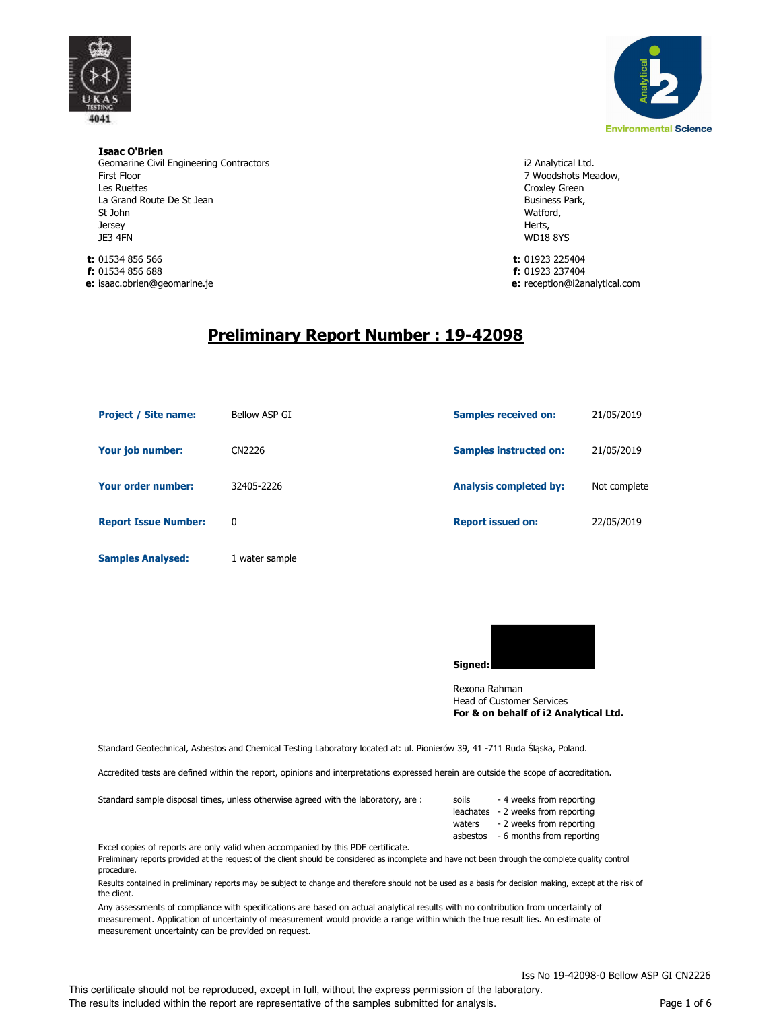

**Isaac O'Brien** Geomarine Civil Engineering Contractors First Floor Les Ruettes La Grand Route De St Jean St John **Jersey** JE3 4FN

**t:** 01534 856 566 **t:** 01923 225404 **f:** 01534 856 688 **f:** 01923 237404 **e:** isaac.obrien@geomarine.je **e:**



i2 Analytical Ltd. 7 Woodshots Meadow, Croxley Green Business Park, Watford, Herts, WD18 8YS

e: reception@i2analytical.com

# **Preliminary Report Number : 19-42098**

| <b>Project / Site name:</b> | Bellow ASP GI  | <b>Samples received on:</b>   | 21/05/2019   |
|-----------------------------|----------------|-------------------------------|--------------|
| Your job number:            | CN2226         | <b>Samples instructed on:</b> | 21/05/2019   |
| Your order number:          | 32405-2226     | <b>Analysis completed by:</b> | Not complete |
| <b>Report Issue Number:</b> | 0              | <b>Report issued on:</b>      | 22/05/2019   |
| <b>Samples Analysed:</b>    | 1 water sample |                               |              |



Head of Customer Services **For & on behalf of i2 Analytical Ltd.** Rexona Rahman

Standard Geotechnical, Asbestos and Chemical Testing Laboratory located at: ul. Pionierów 39, 41 -711 Ruda Śląska, Poland.

Accredited tests are defined within the report, opinions and interpretations expressed herein are outside the scope of accreditation.

| Standard sample disposal times, unless otherwise agreed with the laboratory, are : | soils  | - 4 weeks from reporting           |
|------------------------------------------------------------------------------------|--------|------------------------------------|
|                                                                                    |        | leachates - 2 weeks from reporting |
|                                                                                    | waters | - 2 weeks from reporting           |
|                                                                                    |        | asbestos - 6 months from reporting |

Excel copies of reports are only valid when accompanied by this PDF certificate.

Preliminary reports provided at the request of the client should be considered as incomplete and have not been through the complete quality control procedure.

Results contained in preliminary reports may be subject to change and therefore should not be used as a basis for decision making, except at the risk of the client.

Any assessments of compliance with specifications are based on actual analytical results with no contribution from uncertainty of measurement. Application of uncertainty of measurement would provide a range within which the true result lies. An estimate of measurement uncertainty can be provided on request.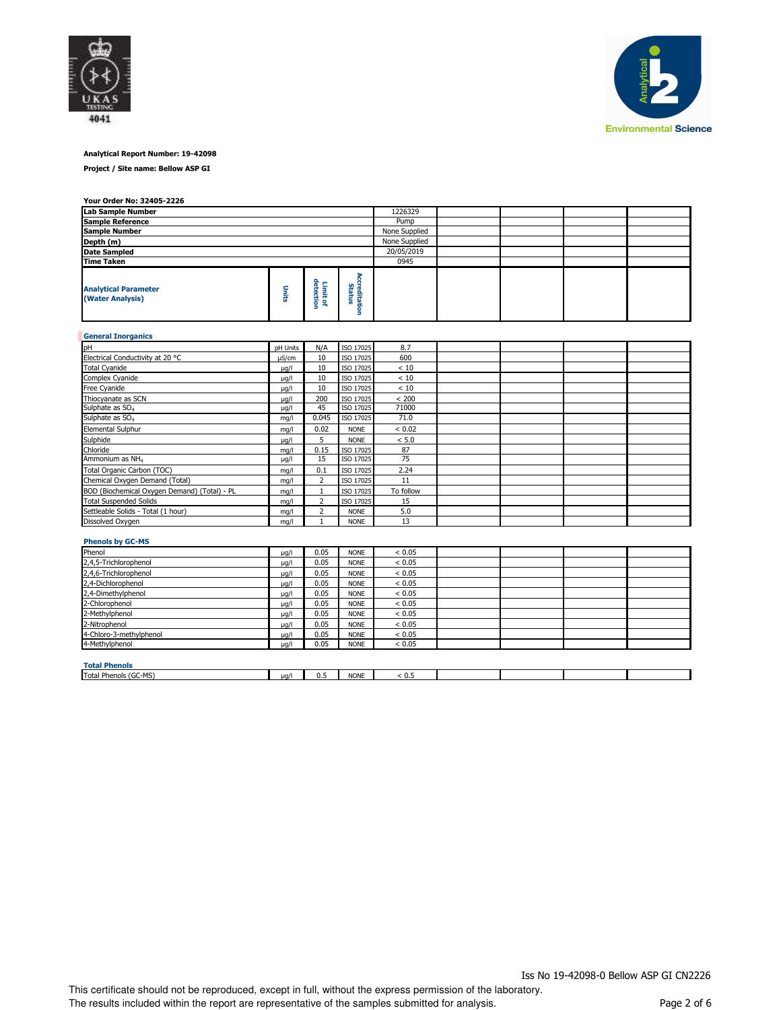



# **Analytical Report Number: 19-42098**

**Project / Site name: Bellow ASP GI**

#### **Your Order No: 32405-2226**

| Lab Sample Number                               |               | 1226329      |             |               |  |  |
|-------------------------------------------------|---------------|--------------|-------------|---------------|--|--|
| <b>Sample Reference</b>                         |               |              |             | Pump          |  |  |
| <b>Sample Number</b>                            | None Supplied |              |             |               |  |  |
| Depth (m)                                       |               |              |             | None Supplied |  |  |
| <b>Date Sampled</b>                             |               |              |             | 20/05/2019    |  |  |
| <b>Time Taken</b>                               |               |              |             | 0945          |  |  |
| <b>Analytical Parameter</b><br>(Water Analysis) | ş             | o.<br>ര<br>۰ | 읔<br>щ<br>۰ |               |  |  |

| <b>General Inorganics</b>                    |            |                |             |           |  |  |
|----------------------------------------------|------------|----------------|-------------|-----------|--|--|
| pH                                           | pH Units   | N/A            | ISO 17025   | 8.7       |  |  |
| Electrical Conductivity at 20 °C             | $\mu$ S/cm | 10             | ISO 17025   | 600       |  |  |
| <b>Total Cyanide</b>                         | $\mu$ g/l  | 10             | ISO 17025   | < 10      |  |  |
| Complex Cyanide                              | $\mu$ g/l  | 10             | ISO 17025   | < 10      |  |  |
| Free Cyanide                                 | $\mu$ g/l  | 10             | ISO 17025   | < 10      |  |  |
| Thiocyanate as SCN                           | $\mu$ g/l  | 200            | ISO 17025   | < 200     |  |  |
| Sulphate as SO <sub>4</sub>                  | $\mu$ g/l  | 45             | ISO 17025   | 71000     |  |  |
| Sulphate as SO <sub>4</sub>                  | mg/l       | 0.045          | ISO 17025   | 71.0      |  |  |
| <b>Elemental Sulphur</b>                     | ma/l       | 0.02           | <b>NONE</b> | < 0.02    |  |  |
| Sulphide                                     | $\mu$ g/l  | 5              | <b>NONE</b> | < 5.0     |  |  |
| Chloride                                     | ma/l       | 0.15           | ISO 17025   | 87        |  |  |
| Ammonium as NH <sub>4</sub>                  | $\mu$ g/l  | 15             | ISO 17025   | 75        |  |  |
| Total Organic Carbon (TOC)                   | mq/l       | 0.1            | ISO 17025   | 2.24      |  |  |
| Chemical Oxygen Demand (Total)               | mg/l       | $\overline{2}$ | ISO 17025   | 11        |  |  |
| BOD (Biochemical Oxygen Demand) (Total) - PL | mq/l       |                | ISO 17025   | To follow |  |  |
| <b>Total Suspended Solids</b>                | mq/l       | 2              | ISO 17025   | 15        |  |  |
| Settleable Solids - Total (1 hour)           | mq/l       | 2              | <b>NONE</b> | 5.0       |  |  |
| Dissolved Oxygen                             | ma/l       |                | <b>NONE</b> | 13        |  |  |

# **Phenols by GC-MS**

| Phenol                  | $\mu$ g/l | 0.05 | <b>NONE</b> | < 0.05 |  |  |
|-------------------------|-----------|------|-------------|--------|--|--|
| 2,4,5-Trichlorophenol   | $\mu$ g/l | 0.05 | <b>NONE</b> | < 0.05 |  |  |
| 2,4,6-Trichlorophenol   | $\mu$ g/l | 0.05 | <b>NONE</b> | < 0.05 |  |  |
| 2,4-Dichlorophenol      | $\mu$ g/l | 0.05 | <b>NONE</b> | < 0.05 |  |  |
| 2,4-Dimethylphenol      | $\mu q/l$ | 0.05 | <b>NONE</b> | < 0.05 |  |  |
| 2-Chlorophenol          | $\mu$ g/l | 0.05 | <b>NONE</b> | < 0.05 |  |  |
| 2-Methylphenol          | $\mu q/l$ | 0.05 | <b>NONE</b> | < 0.05 |  |  |
| 2-Nitrophenol           | $\mu$ g/l | 0.05 | <b>NONE</b> | < 0.05 |  |  |
| 4-Chloro-3-methylphenol | $\mu q/l$ | 0.05 | <b>NONE</b> | < 0.05 |  |  |
| 4-Methylphenol          | $\mu$ g/l | 0.05 | <b>NONE</b> | < 0.05 |  |  |
|                         |           |      |             |        |  |  |
| <b>Total Phenols</b>    |           |      |             |        |  |  |

| TULAI FIICHUIS                                                          |      |            |             |                        |  |  |
|-------------------------------------------------------------------------|------|------------|-------------|------------------------|--|--|
| $100 - 100$<br>Total<br>-<br><b>Phenois</b><br><b>IGC.</b><br>צועו<br>. | ua/l | . .<br>0.5 | <b>NONE</b> | . .<br>$\sim$<br>- U.S |  |  |
|                                                                         |      |            |             |                        |  |  |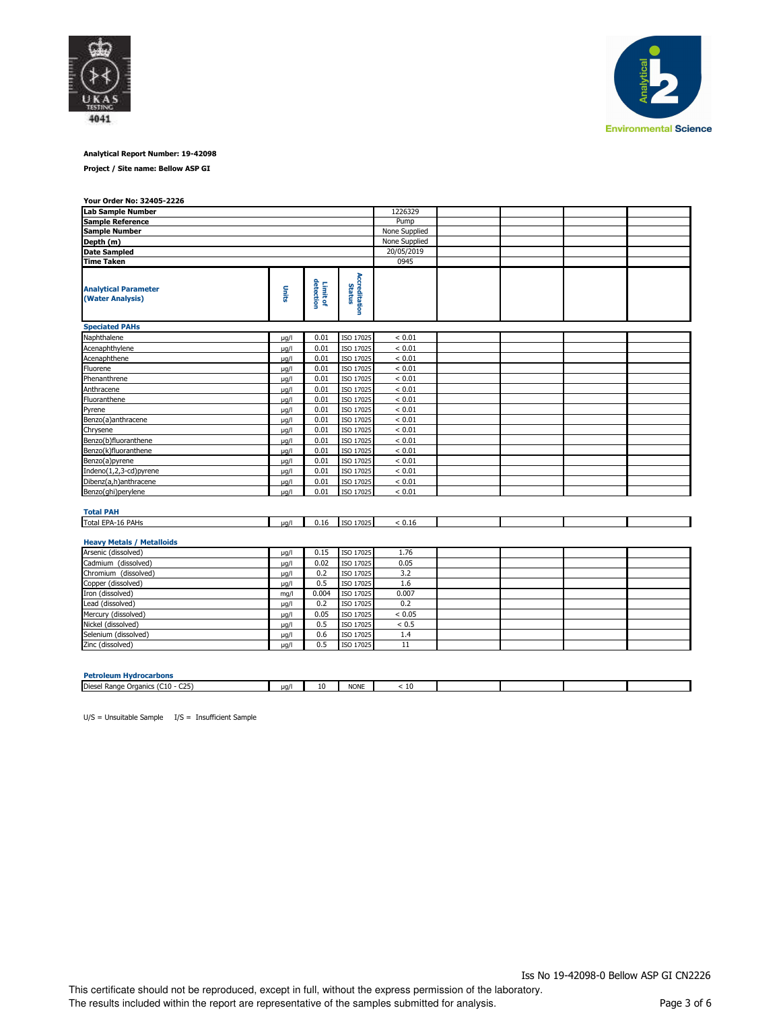



# **Analytical Report Number: 19-42098**

**Project / Site name: Bellow ASP GI**

| Your Order No: 32405-2226                       |               |                       |                                |               |  |  |
|-------------------------------------------------|---------------|-----------------------|--------------------------------|---------------|--|--|
| <b>Lab Sample Number</b>                        |               | 1226329               |                                |               |  |  |
| <b>Sample Reference</b>                         | Pump          |                       |                                |               |  |  |
| <b>Sample Number</b>                            | None Supplied |                       |                                |               |  |  |
| Depth (m)                                       |               |                       |                                | None Supplied |  |  |
| <b>Date Sampled</b>                             |               |                       |                                | 20/05/2019    |  |  |
| <b>Time Taken</b>                               |               |                       |                                | 0945          |  |  |
| <b>Analytical Parameter</b><br>(Water Analysis) | Units         | Limit of<br>detection | <b>Accreditation</b><br>Status |               |  |  |
| <b>Speciated PAHs</b>                           |               |                       |                                |               |  |  |
| Naphthalene                                     | µg/l          | 0.01                  | ISO 17025                      | < 0.01        |  |  |
| Acenaphthylene                                  | $\mu q/l$     | 0.01                  | ISO 17025                      | < 0.01        |  |  |
| Acenaphthene                                    | $\mu$ g/l     | 0.01                  | ISO 17025                      | < 0.01        |  |  |
| Fluorene                                        | $\mu q/l$     | 0.01                  | ISO 17025                      | < 0.01        |  |  |
| Phenanthrene                                    | µg/l          | 0.01                  | ISO 17025                      | < 0.01        |  |  |
| Anthracene                                      | µg/l          | 0.01                  | ISO 17025                      | < 0.01        |  |  |
| Fluoranthene                                    | µg/l          | 0.01                  | ISO 17025                      | < 0.01        |  |  |
| Pyrene                                          | $\mu$ g/l     | 0.01                  | ISO 17025                      | < 0.01        |  |  |
| Benzo(a)anthracene                              | $\mu$ g/l     | 0.01                  | ISO 17025                      | < 0.01        |  |  |
| Chrysene                                        | µg/l          | 0.01                  | ISO 17025                      | < 0.01        |  |  |
| Benzo(b)fluoranthene                            | µg/l          | 0.01                  | ISO 17025                      | < 0.01        |  |  |
| Benzo(k)fluoranthene                            | µg/l          | 0.01                  | ISO 17025                      | < 0.01        |  |  |
| Benzo(a)pyrene                                  | $\mu q/l$     | 0.01                  | ISO 17025                      | < 0.01        |  |  |
| Indeno(1,2,3-cd)pyrene                          | $\mu$ g/l     | 0.01                  | ISO 17025                      | ${}< 0.01$    |  |  |
| Dibenz(a,h)anthracene                           | $\mu$ g/l     | 0.01                  | ISO 17025                      | < 0.01        |  |  |
| Benzo(ghi)perylene                              | $\mu q/l$     | 0.01                  | ISO 17025                      | < 0.01        |  |  |
| <b>Total PAH</b>                                |               |                       |                                |               |  |  |
| Total EPA-16 PAHs                               | $\mu q/l$     | 0.16                  | ISO 17025                      | < 0.16        |  |  |
| <b>Heavy Metals / Metalloids</b>                |               |                       |                                |               |  |  |
| Arsenic (dissolved)                             | $\mu$ g/l     | 0.15                  | ISO 17025                      | 1.76          |  |  |
| Cadmium (dissolved)                             | µg/l          | 0.02                  | ISO 17025                      | 0.05          |  |  |
| Chromium (dissolved)                            | $\mu$ g/l     | 0.2                   | ISO 17025                      | 3.2           |  |  |
| Copper (dissolved)                              | $\mu$ g/l     | 0.5                   | ISO 17025                      | 1.6           |  |  |
| Iron (dissolved)                                | mq/l          | 0.004                 | ISO 17025                      | 0.007         |  |  |
| Lead (dissolved)                                | $\mu$ g/l     | 0.2                   | ISO 17025                      | 0.2           |  |  |
| Mercury (dissolved)                             | µg/l          | 0.05                  | ISO 17025                      | < 0.05        |  |  |

**Petroleum Hydrocarbons** Diesel Range Organics (C10 - C25)  $\mu$ g/l 10 NONE < 10  $\overline{\phantom{0}}$ 

 $U/S =$  Unsuitable Sample  $I/S =$  Insufficient Sample

Nickel (dissolved)  $\mu$ g/l 0.5 ISO 17025 < 0.5 Selenium (dissolved)  $\mu$ g/l 0.6 ISO 17025 1.4  $\frac{1}{2}$  2inc (dissolved)  $\frac{1}{2}$   $\frac{1}{2}$   $\frac{1}{2}$   $\frac{1}{2}$   $\frac{1}{2}$   $\frac{1}{2}$   $\frac{1}{2}$   $\frac{1}{2}$   $\frac{1}{2}$   $\frac{1}{2}$   $\frac{1}{2}$   $\frac{1}{2}$   $\frac{1}{2}$   $\frac{1}{2}$   $\frac{1}{2}$   $\frac{1}{2}$   $\frac{1}{2}$   $\frac{1}{2}$   $\frac{1}{2}$   $\frac{$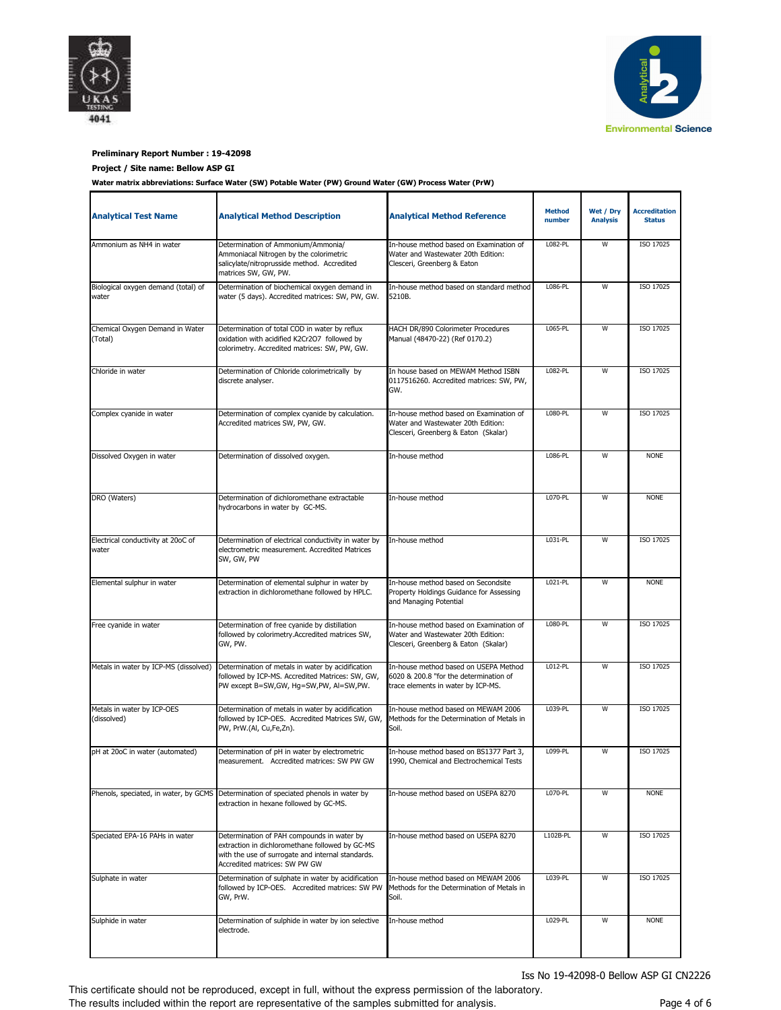



# **Preliminary Report Number : 19-42098**

# **Project / Site name: Bellow ASP GI**

**Water matrix abbreviations: Surface Water (SW) Potable Water (PW) Ground Water (GW) Process Water (PrW)**

| <b>Analytical Test Name</b>                  | <b>Analytical Method Description</b>                                                                                                                                                | <b>Analytical Method Reference</b>                                                                                    | <b>Method</b><br>number | Wet / Dry<br><b>Analysis</b> | <b>Accreditation</b><br><b>Status</b> |
|----------------------------------------------|-------------------------------------------------------------------------------------------------------------------------------------------------------------------------------------|-----------------------------------------------------------------------------------------------------------------------|-------------------------|------------------------------|---------------------------------------|
| Ammonium as NH4 in water                     | Determination of Ammonium/Ammonia/<br>Ammoniacal Nitrogen by the colorimetric<br>salicylate/nitroprusside method. Accredited<br>matrices SW, GW, PW.                                | In-house method based on Examination of<br>Water and Wastewater 20th Edition:<br>Clesceri, Greenberg & Eaton          | L082-PL                 | W                            | ISO 17025                             |
| Biological oxygen demand (total) of<br>water | Determination of biochemical oxygen demand in<br>water (5 days). Accredited matrices: SW, PW, GW.                                                                                   | In-house method based on standard method<br>5210B.                                                                    | L086-PL                 | W                            | ISO 17025                             |
| Chemical Oxygen Demand in Water<br>(Total)   | Determination of total COD in water by reflux<br>oxidation with acidified K2Cr2O7 followed by<br>colorimetry. Accredited matrices: SW, PW, GW.                                      | HACH DR/890 Colorimeter Procedures<br>Manual (48470-22) (Ref 0170.2)                                                  | L065-PL                 | W                            | ISO 17025                             |
| Chloride in water                            | Determination of Chloride colorimetrically by<br>discrete analyser.                                                                                                                 | In house based on MEWAM Method ISBN<br>0117516260. Accredited matrices: SW, PW,<br>GW.                                |                         |                              | ISO 17025                             |
| Complex cyanide in water                     | Determination of complex cyanide by calculation.<br>Accredited matrices SW, PW, GW.                                                                                                 | In-house method based on Examination of<br>Water and Wastewater 20th Edition:<br>Clesceri, Greenberg & Eaton (Skalar) | L080-PL                 | W                            | ISO 17025                             |
| Dissolved Oxygen in water                    | Determination of dissolved oxygen.                                                                                                                                                  | In-house method                                                                                                       | L086-PL                 | W                            | <b>NONE</b>                           |
| DRO (Waters)                                 | Determination of dichloromethane extractable<br>hydrocarbons in water by GC-MS.                                                                                                     | In-house method                                                                                                       | L070-PL                 | W                            | <b>NONE</b>                           |
| Electrical conductivity at 20oC of<br>water  | Determination of electrical conductivity in water by<br>electrometric measurement. Accredited Matrices<br>SW, GW, PW                                                                | In-house method                                                                                                       | L031-PL                 | W                            | ISO 17025                             |
| Elemental sulphur in water                   | Determination of elemental sulphur in water by<br>extraction in dichloromethane followed by HPLC.                                                                                   | In-house method based on Secondsite<br>Property Holdings Guidance for Assessing<br>and Managing Potential             | L021-PL                 | W                            | <b>NONE</b>                           |
| Free cyanide in water                        | Determination of free cyanide by distillation<br>followed by colorimetry.Accredited matrices SW,<br>GW, PW.                                                                         | In-house method based on Examination of<br>Water and Wastewater 20th Edition:<br>Clesceri, Greenberg & Eaton (Skalar) | L080-PL                 | W                            | ISO 17025                             |
| Metals in water by ICP-MS (dissolved)        | Determination of metals in water by acidification<br>followed by ICP-MS. Accredited Matrices: SW, GW,<br>PW except B=SW,GW, Hg=SW,PW, Al=SW,PW.                                     | In-house method based on USEPA Method<br>6020 & 200.8 "for the determination of<br>trace elements in water by ICP-MS. | L012-PL                 | $\overline{W}$               | ISO 17025                             |
| Metals in water by ICP-OES<br>(dissolved)    | Determination of metals in water by acidification<br>followed by ICP-OES. Accredited Matrices SW, GW,<br>PW, PrW.(Al, Cu,Fe,Zn).                                                    | In-house method based on MEWAM 2006<br>Methods for the Determination of Metals in<br>Soil.                            | L039-PL                 | W                            | ISO 17025                             |
| pH at 20oC in water (automated)              | Determination of pH in water by electrometric<br>measurement. Accredited matrices: SW PW GW                                                                                         | In-house method based on BS1377 Part 3,<br>1990, Chemical and Electrochemical Tests                                   | L099-PL                 | W                            | ISO 17025                             |
| Phenols, speciated, in water, by GCMS        | Determination of speciated phenols in water by<br>extraction in hexane followed by GC-MS.                                                                                           | In-house method based on USEPA 8270                                                                                   | L070-PL                 | W                            | <b>NONE</b>                           |
| Speciated EPA-16 PAHs in water               | Determination of PAH compounds in water by<br>extraction in dichloromethane followed by GC-MS<br>with the use of surrogate and internal standards.<br>Accredited matrices: SW PW GW | In-house method based on USEPA 8270                                                                                   | L102B-PL                | W                            | ISO 17025                             |
| Sulphate in water                            | Determination of sulphate in water by acidification<br>followed by ICP-OES. Accredited matrices: SW PW<br>GW, PrW.                                                                  | In-house method based on MEWAM 2006<br>Methods for the Determination of Metals in<br>Soil.                            | L039-PL                 | W                            | ISO 17025                             |
| Sulphide in water                            | Determination of sulphide in water by ion selective<br>electrode.                                                                                                                   | In-house method                                                                                                       | L029-PL                 | W                            | <b>NONE</b>                           |

Iss No 19-42098-0 Bellow ASP GI CN2226

This certificate should not be reproduced, except in full, without the express permission of the laboratory. The results included within the report are representative of the samples submitted for analysis.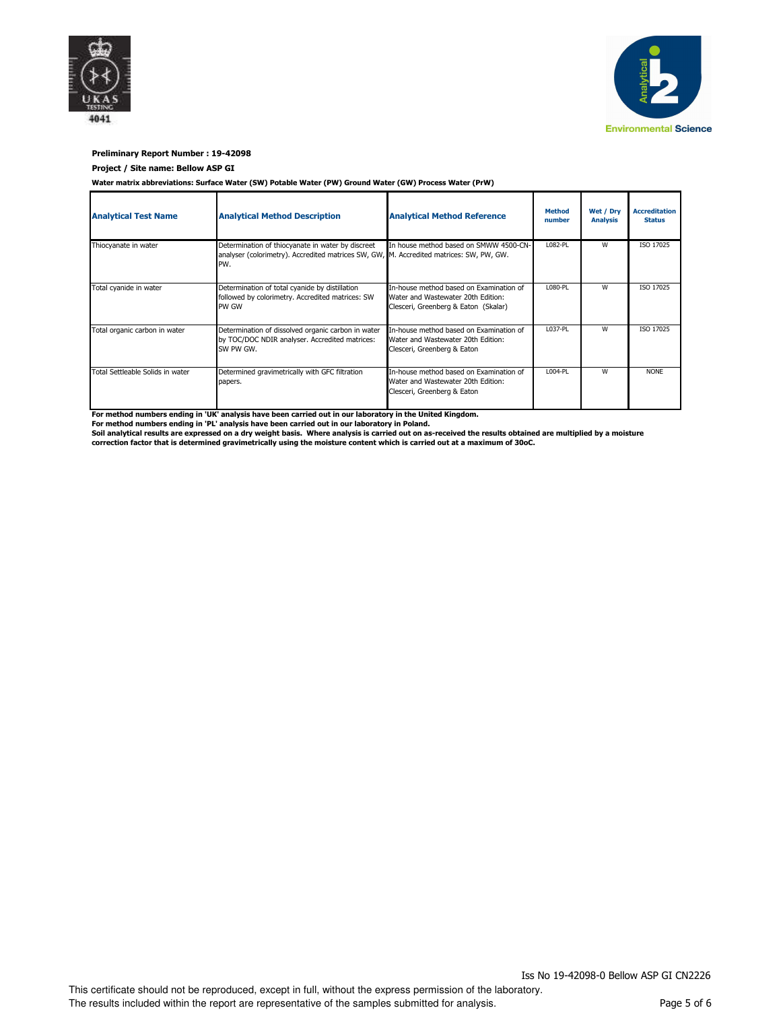



# **Preliminary Report Number : 19-42098**

#### **Project / Site name: Bellow ASP GI**

**Water matrix abbreviations: Surface Water (SW) Potable Water (PW) Ground Water (GW) Process Water (PrW)**

| <b>Analytical Test Name</b>      | <b>Analytical Method Description</b>                                                                                                                | <b>Analytical Method Reference</b>                                                                                    | <b>Method</b><br>number | Wet / Dry<br><b>Analysis</b> | <b>Accreditation</b><br><b>Status</b> |
|----------------------------------|-----------------------------------------------------------------------------------------------------------------------------------------------------|-----------------------------------------------------------------------------------------------------------------------|-------------------------|------------------------------|---------------------------------------|
| Thiocyanate in water             | Determination of thiocyanate in water by discreet<br>analyser (colorimetry). Accredited matrices SW, GW, M. Accredited matrices: SW, PW, GW.<br>PW. | In house method based on SMWW 4500-CN-                                                                                | L082-PL                 | w                            | ISO 17025                             |
| Total cyanide in water           | Determination of total cyanide by distillation<br>followed by colorimetry. Accredited matrices: SW<br>PW GW                                         | In-house method based on Examination of<br>Water and Wastewater 20th Edition:<br>Clesceri, Greenberg & Eaton (Skalar) | L080-PL                 | W                            | <b>ISO 17025</b>                      |
| Total organic carbon in water    | Determination of dissolved organic carbon in water<br>by TOC/DOC NDIR analyser. Accredited matrices:<br>SW PW GW.                                   | In-house method based on Examination of<br>Water and Wastewater 20th Edition:<br>Clesceri, Greenberg & Eaton          | L037-PL                 | W                            | ISO 17025                             |
| Total Settleable Solids in water | Determined gravimetrically with GFC filtration<br>papers.                                                                                           | In-house method based on Examination of<br>Water and Wastewater 20th Edition:<br>Clesceri, Greenberg & Eaton          | L004-PL                 | W                            | <b>NONE</b>                           |

**For method numbers ending in 'UK' analysis have been carried out in our laboratory in the United Kingdom.**

**For method numbers ending in 'PL' analysis have been carried out in our laboratory in Poland.**

**Soil analytical results are expressed on a dry weight basis. Where analysis is carried out on as-received the results obtained are multiplied by a moisture correction factor that is determined gravimetrically using the moisture content which is carried out at a maximum of 30oC.**

Iss No 19-42098-0 Bellow ASP GI CN2226